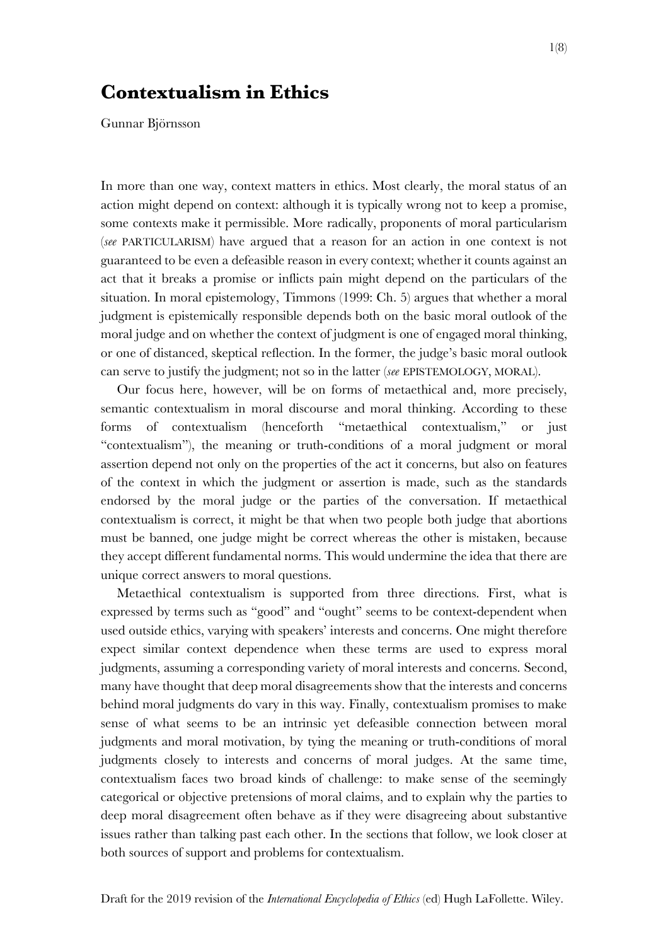# **Contextualism in Ethics**

Gunnar Björnsson

In more than one way, context matters in ethics. Most clearly, the moral status of an action might depend on context: although it is typically wrong not to keep a promise, some contexts make it permissible. More radically, proponents of moral particularism (*see* PARTICULARISM) have argued that a reason for an action in one context is not guaranteed to be even a defeasible reason in every context; whether it counts against an act that it breaks a promise or inflicts pain might depend on the particulars of the situation. In moral epistemology, Timmons (1999: Ch. 5) argues that whether a moral judgment is epistemically responsible depends both on the basic moral outlook of the moral judge and on whether the context of judgment is one of engaged moral thinking, or one of distanced, skeptical reflection. In the former, the judge's basic moral outlook can serve to justify the judgment; not so in the latter (*see* EPISTEMOLOGY, MORAL).

Our focus here, however, will be on forms of metaethical and, more precisely, semantic contextualism in moral discourse and moral thinking. According to these forms of contextualism (henceforth "metaethical contextualism," or just "contextualism"), the meaning or truth‐conditions of a moral judgment or moral assertion depend not only on the properties of the act it concerns, but also on features of the context in which the judgment or assertion is made, such as the standards endorsed by the moral judge or the parties of the conversation. If metaethical contextualism is correct, it might be that when two people both judge that abortions must be banned, one judge might be correct whereas the other is mistaken, because they accept different fundamental norms. This would undermine the idea that there are unique correct answers to moral questions.

Metaethical contextualism is supported from three directions. First, what is expressed by terms such as "good" and "ought" seems to be context-dependent when used outside ethics, varying with speakers' interests and concerns. One might therefore expect similar context dependence when these terms are used to express moral judgments, assuming a corresponding variety of moral interests and concerns. Second, many have thought that deep moral disagreements show that the interests and concerns behind moral judgments do vary in this way. Finally, contextualism promises to make sense of what seems to be an intrinsic yet defeasible connection between moral judgments and moral motivation, by tying the meaning or truth-conditions of moral judgments closely to interests and concerns of moral judges. At the same time, contextualism faces two broad kinds of challenge: to make sense of the seemingly categorical or objective pretensions of moral claims, and to explain why the parties to deep moral disagreement often behave as if they were disagreeing about substantive issues rather than talking past each other. In the sections that follow, we look closer at both sources of support and problems for contextualism.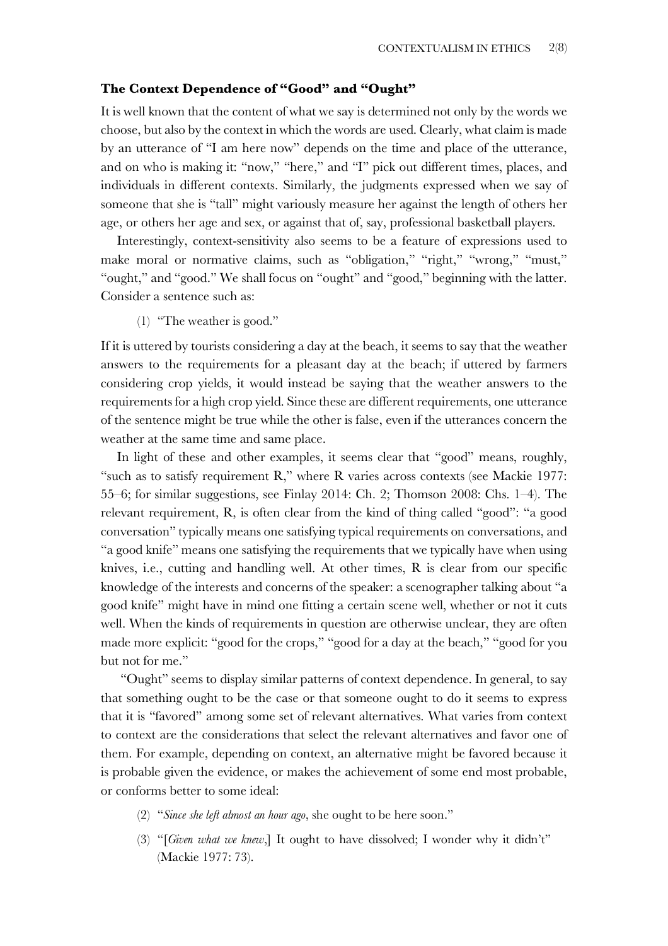# **The Context Dependence of "Good" and "Ought"**

It is well known that the content of what we say is determined not only by the words we choose, but also by the context in which the words are used. Clearly, what claim is made by an utterance of "I am here now" depends on the time and place of the utterance, and on who is making it: "now," "here," and "I" pick out different times, places, and individuals in different contexts. Similarly, the judgments expressed when we say of someone that she is "tall" might variously measure her against the length of others her age, or others her age and sex, or against that of, say, professional basketball players.

Interestingly, context-sensitivity also seems to be a feature of expressions used to make moral or normative claims, such as "obligation," "right," "wrong," "must," "ought," and "good." We shall focus on "ought" and "good," beginning with the latter. Consider a sentence such as:

(1) "The weather is good."

If it is uttered by tourists considering a day at the beach, it seems to say that the weather answers to the requirements for a pleasant day at the beach; if uttered by farmers considering crop yields, it would instead be saying that the weather answers to the requirements for a high crop yield. Since these are different requirements, one utterance of the sentence might be true while the other is false, even if the utterances concern the weather at the same time and same place.

In light of these and other examples, it seems clear that "good" means, roughly, "such as to satisfy requirement R," where R varies across contexts (see Mackie 1977: 55–6; for similar suggestions, see Finlay 2014: Ch. 2; Thomson 2008: Chs. 1–4). The relevant requirement, R, is often clear from the kind of thing called "good": "a good conversation" typically means one satisfying typical requirements on conversations, and "a good knife" means one satisfying the requirements that we typically have when using knives, i.e., cutting and handling well. At other times, R is clear from our specific knowledge of the interests and concerns of the speaker: a scenographer talking about "a good knife" might have in mind one fitting a certain scene well, whether or not it cuts well. When the kinds of requirements in question are otherwise unclear, they are often made more explicit: "good for the crops," "good for a day at the beach," "good for you but not for me."

"Ought" seems to display similar patterns of context dependence. In general, to say that something ought to be the case or that someone ought to do it seems to express that it is "favored" among some set of relevant alternatives. What varies from context to context are the considerations that select the relevant alternatives and favor one of them. For example, depending on context, an alternative might be favored because it is probable given the evidence, or makes the achievement of some end most probable, or conforms better to some ideal:

- (2) "*Since she left almost an hour ago*, she ought to be here soon."
- (3) "[*Given what we knew*,] It ought to have dissolved; I wonder why it didn't" (Mackie 1977: 73).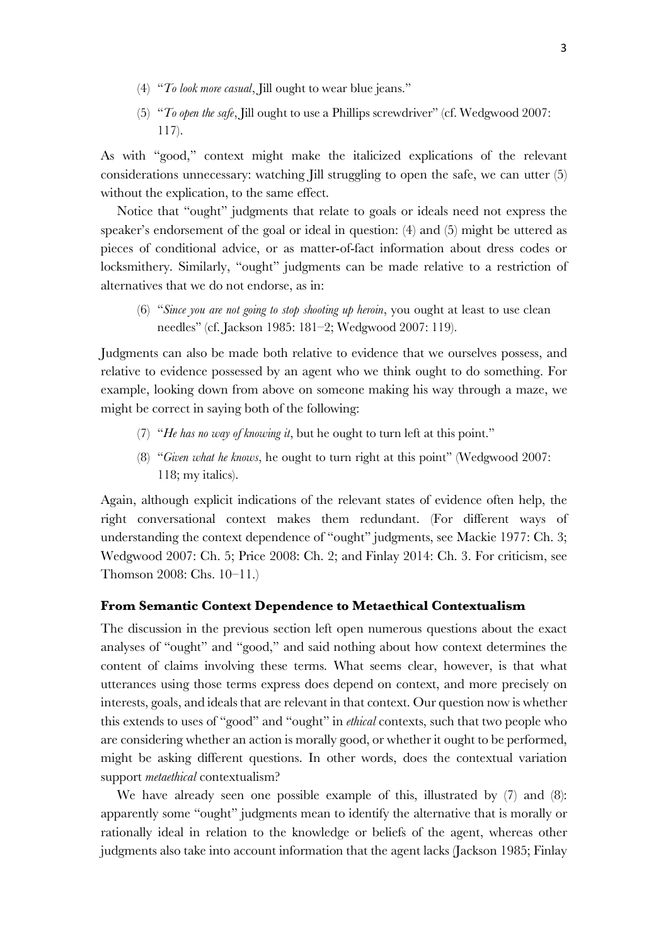- (4) "*To look more casual*, Jill ought to wear blue jeans."
- (5) "*To open the safe*, Jill ought to use a Phillips screwdriver" (cf. Wedgwood 2007: 117).

As with "good," context might make the italicized explications of the relevant considerations unnecessary: watching Jill struggling to open the safe, we can utter (5) without the explication, to the same effect.

Notice that "ought" judgments that relate to goals or ideals need not express the speaker's endorsement of the goal or ideal in question: (4) and (5) might be uttered as pieces of conditional advice, or as matter‐of‐fact information about dress codes or locksmithery. Similarly, "ought" judgments can be made relative to a restriction of alternatives that we do not endorse, as in:

(6) "*Since you are not going to stop shooting up heroin*, you ought at least to use clean needles" (cf. Jackson 1985: 181–2; Wedgwood 2007: 119).

Judgments can also be made both relative to evidence that we ourselves possess, and relative to evidence possessed by an agent who we think ought to do something. For example, looking down from above on someone making his way through a maze, we might be correct in saying both of the following:

- (7) "*He has no way of knowing it*, but he ought to turn left at this point."
- (8) "*Given what he knows*, he ought to turn right at this point" (Wedgwood 2007: 118; my italics).

Again, although explicit indications of the relevant states of evidence often help, the right conversational context makes them redundant. (For different ways of understanding the context dependence of "ought" judgments, see Mackie 1977: Ch. 3; Wedgwood 2007: Ch. 5; Price 2008: Ch. 2; and Finlay 2014: Ch. 3. For criticism, see Thomson 2008: Chs. 10–11.)

# **From Semantic Context Dependence to Metaethical Contextualism**

The discussion in the previous section left open numerous questions about the exact analyses of "ought" and "good," and said nothing about how context determines the content of claims involving these terms. What seems clear, however, is that what utterances using those terms express does depend on context, and more precisely on interests, goals, and ideals that are relevant in that context. Our question now is whether this extends to uses of "good" and "ought" in *ethical* contexts, such that two people who are considering whether an action is morally good, or whether it ought to be performed, might be asking different questions. In other words, does the contextual variation support *metaethical* contextualism?

We have already seen one possible example of this, illustrated by  $(7)$  and  $(8)$ : apparently some "ought" judgments mean to identify the alternative that is morally or rationally ideal in relation to the knowledge or beliefs of the agent, whereas other judgments also take into account information that the agent lacks (Jackson 1985; Finlay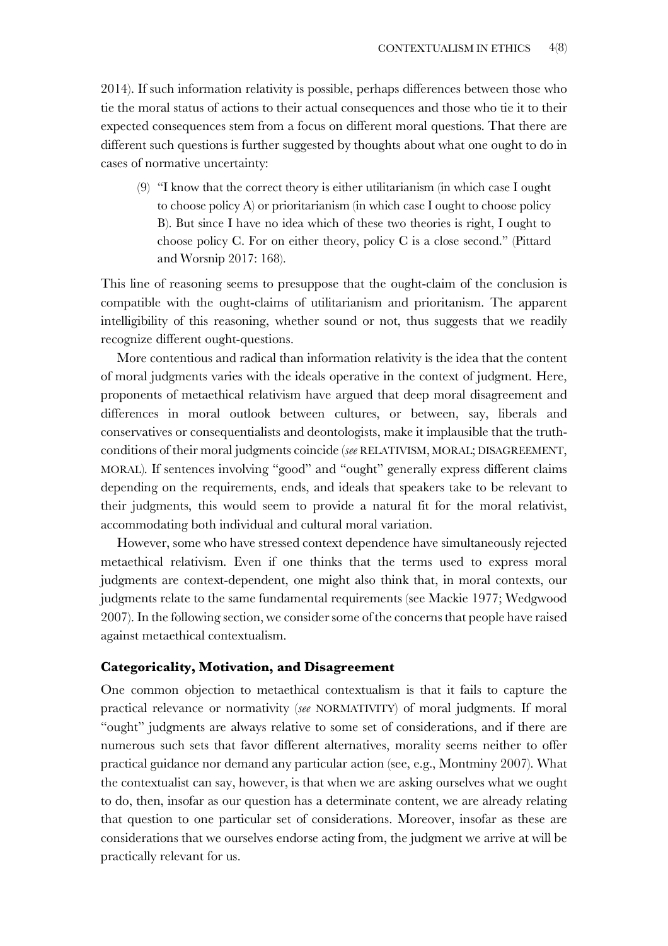2014). If such information relativity is possible, perhaps differences between those who tie the moral status of actions to their actual consequences and those who tie it to their expected consequences stem from a focus on different moral questions. That there are different such questions is further suggested by thoughts about what one ought to do in cases of normative uncertainty:

(9) "I know that the correct theory is either utilitarianism (in which case I ought to choose policy A) or prioritarianism (in which case I ought to choose policy B). But since I have no idea which of these two theories is right, I ought to choose policy C. For on either theory, policy C is a close second." (Pittard and Worsnip 2017: 168).

This line of reasoning seems to presuppose that the ought-claim of the conclusion is compatible with the ought-claims of utilitarianism and prioritanism. The apparent intelligibility of this reasoning, whether sound or not, thus suggests that we readily recognize different ought-questions.

More contentious and radical than information relativity is the idea that the content of moral judgments varies with the ideals operative in the context of judgment. Here, proponents of metaethical relativism have argued that deep moral disagreement and differences in moral outlook between cultures, or between, say, liberals and conservatives or consequentialists and deontologists, make it implausible that the truth‐ conditions of their moral judgments coincide (*see* RELATIVISM, MORAL; DISAGREEMENT, MORAL). If sentences involving "good" and "ought" generally express different claims depending on the requirements, ends, and ideals that speakers take to be relevant to their judgments, this would seem to provide a natural fit for the moral relativist, accommodating both individual and cultural moral variation.

However, some who have stressed context dependence have simultaneously rejected metaethical relativism. Even if one thinks that the terms used to express moral judgments are context-dependent, one might also think that, in moral contexts, our judgments relate to the same fundamental requirements (see Mackie 1977; Wedgwood 2007). In the following section, we consider some of the concerns that people have raised against metaethical contextualism.

# **Categoricality, Motivation, and Disagreement**

One common objection to metaethical contextualism is that it fails to capture the practical relevance or normativity (*see* NORMATIVITY) of moral judgments. If moral "ought" judgments are always relative to some set of considerations, and if there are numerous such sets that favor different alternatives, morality seems neither to offer practical guidance nor demand any particular action (see, e.g., Montminy 2007). What the contextualist can say, however, is that when we are asking ourselves what we ought to do, then, insofar as our question has a determinate content, we are already relating that question to one particular set of considerations. Moreover, insofar as these are considerations that we ourselves endorse acting from, the judgment we arrive at will be practically relevant for us.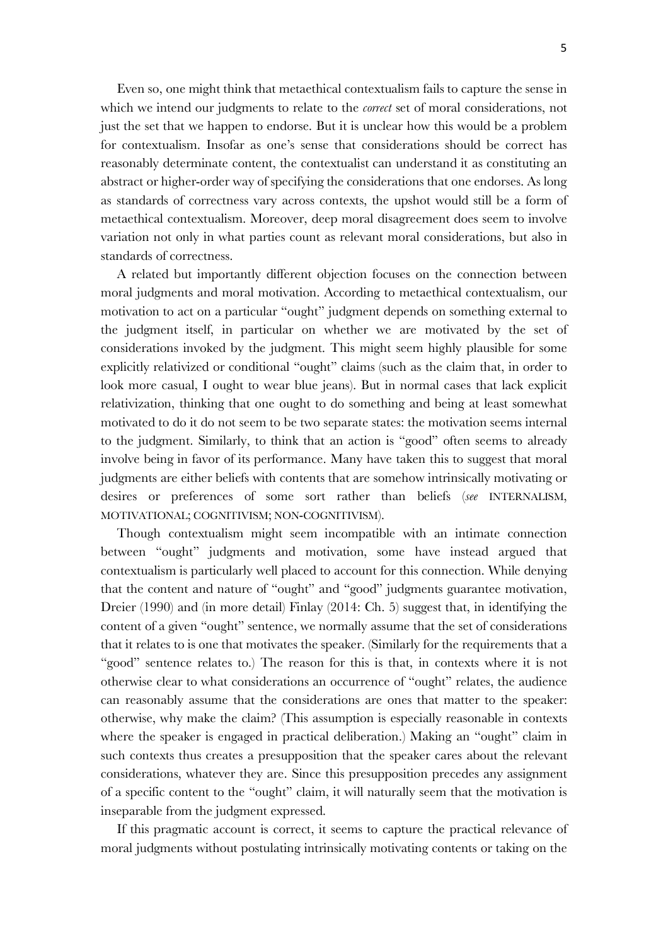Even so, one might think that metaethical contextualism fails to capture the sense in which we intend our judgments to relate to the *correct* set of moral considerations, not just the set that we happen to endorse. But it is unclear how this would be a problem for contextualism. Insofar as one's sense that considerations should be correct has reasonably determinate content, the contextualist can understand it as constituting an abstract or higher‐order way of specifying the considerations that one endorses. As long as standards of correctness vary across contexts, the upshot would still be a form of metaethical contextualism. Moreover, deep moral disagreement does seem to involve variation not only in what parties count as relevant moral considerations, but also in standards of correctness.

A related but importantly different objection focuses on the connection between moral judgments and moral motivation. According to metaethical contextualism, our motivation to act on a particular "ought" judgment depends on something external to the judgment itself, in particular on whether we are motivated by the set of considerations invoked by the judgment. This might seem highly plausible for some explicitly relativized or conditional "ought" claims (such as the claim that, in order to look more casual, I ought to wear blue jeans). But in normal cases that lack explicit relativization, thinking that one ought to do something and being at least somewhat motivated to do it do not seem to be two separate states: the motivation seems internal to the judgment. Similarly, to think that an action is "good" often seems to already involve being in favor of its performance. Many have taken this to suggest that moral judgments are either beliefs with contents that are somehow intrinsically motivating or desires or preferences of some sort rather than beliefs (*see* INTERNALISM, MOTIVATIONAL; COGNITIVISM; NON-COGNITIVISM).

Though contextualism might seem incompatible with an intimate connection between "ought" judgments and motivation, some have instead argued that contextualism is particularly well placed to account for this connection. While denying that the content and nature of "ought" and "good" judgments guarantee motivation, Dreier (1990) and (in more detail) Finlay (2014: Ch. 5) suggest that, in identifying the content of a given "ought" sentence, we normally assume that the set of considerations that it relates to is one that motivates the speaker. (Similarly for the requirements that a "good" sentence relates to.) The reason for this is that, in contexts where it is not otherwise clear to what considerations an occurrence of "ought" relates, the audience can reasonably assume that the considerations are ones that matter to the speaker: otherwise, why make the claim? (This assumption is especially reasonable in contexts where the speaker is engaged in practical deliberation.) Making an "ought" claim in such contexts thus creates a presupposition that the speaker cares about the relevant considerations, whatever they are. Since this presupposition precedes any assignment of a specific content to the "ought" claim, it will naturally seem that the motivation is inseparable from the judgment expressed.

If this pragmatic account is correct, it seems to capture the practical relevance of moral judgments without postulating intrinsically motivating contents or taking on the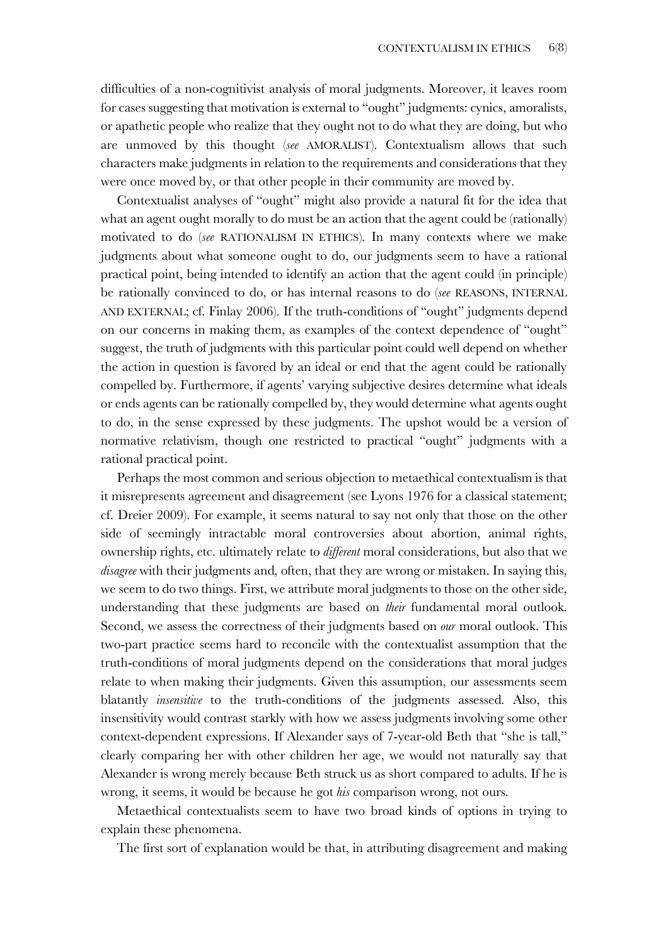difficulties of a non‐cognitivist analysis of moral judgments. Moreover, it leaves room for cases suggesting that motivation is external to "ought" judgments: cynics, amoralists, or apathetic people who realize that they ought not to do what they are doing, but who are unmoved by this thought (*see* AMORALIST). Contextualism allows that such characters make judgments in relation to the requirements and considerations that they were once moved by, or that other people in their community are moved by.

Contextualist analyses of "ought" might also provide a natural fit for the idea that what an agent ought morally to do must be an action that the agent could be (rationally) motivated to do (*see* RATIONALISM IN ETHICS). In many contexts where we make judgments about what someone ought to do, our judgments seem to have a rational practical point, being intended to identify an action that the agent could (in principle) be rationally convinced to do, or has internal reasons to do (*see* REASONS, INTERNAL AND EXTERNAL; cf. Finlay 2006). If the truth-conditions of "ought" judgments depend on our concerns in making them, as examples of the context dependence of "ought" suggest, the truth of judgments with this particular point could well depend on whether the action in question is favored by an ideal or end that the agent could be rationally compelled by. Furthermore, if agents' varying subjective desires determine what ideals or ends agents can be rationally compelled by, they would determine what agents ought to do, in the sense expressed by these judgments. The upshot would be a version of normative relativism, though one restricted to practical "ought" judgments with a rational practical point.

Perhaps the most common and serious objection to metaethical contextualism is that it misrepresents agreement and disagreement (see Lyons 1976 for a classical statement; cf. Dreier 2009). For example, it seems natural to say not only that those on the other side of seemingly intractable moral controversies about abortion, animal rights, ownership rights, etc. ultimately relate to *different* moral considerations, but also that we *disagree* with their judgments and, often, that they are wrong or mistaken. In saying this, we seem to do two things. First, we attribute moral judgments to those on the other side, understanding that these judgments are based on *their* fundamental moral outlook. Second, we assess the correctness of their judgments based on *our* moral outlook. This two‐part practice seems hard to reconcile with the contextualist assumption that the truth‐conditions of moral judgments depend on the considerations that moral judges relate to when making their judgments. Given this assumption, our assessments seem blatantly *insensitive* to the truth-conditions of the judgments assessed. Also, this insensitivity would contrast starkly with how we assess judgments involving some other context‐dependent expressions. If Alexander says of 7‐year‐old Beth that "she is tall," clearly comparing her with other children her age, we would not naturally say that Alexander is wrong merely because Beth struck us as short compared to adults. If he is wrong, it seems, it would be because he got *his* comparison wrong, not ours.

Metaethical contextualists seem to have two broad kinds of options in trying to explain these phenomena.

The first sort of explanation would be that, in attributing disagreement and making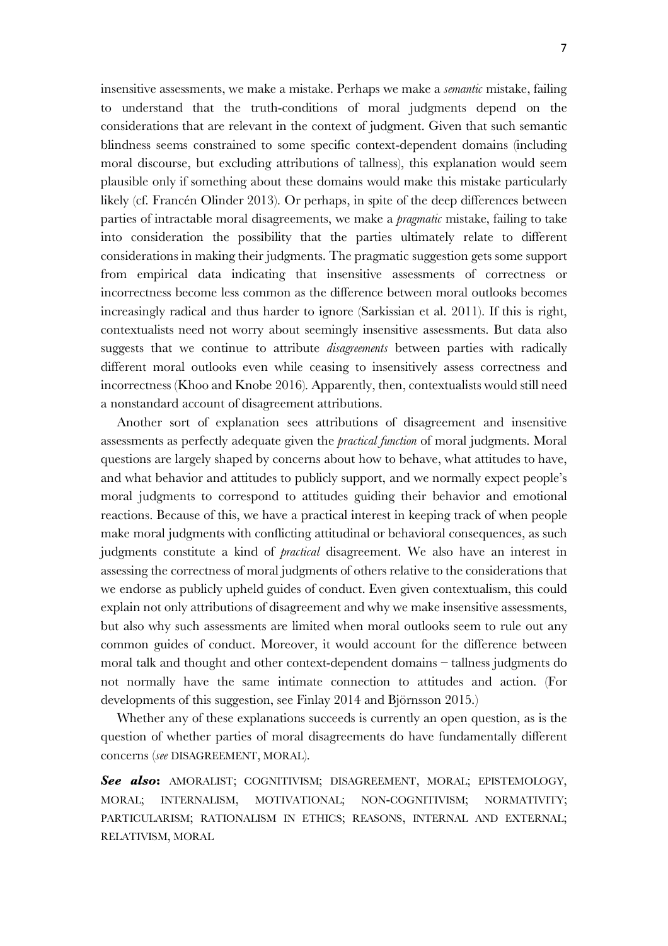insensitive assessments, we make a mistake. Perhaps we make a *semantic* mistake, failing to understand that the truth‐conditions of moral judgments depend on the considerations that are relevant in the context of judgment. Given that such semantic blindness seems constrained to some specific context-dependent domains (including moral discourse, but excluding attributions of tallness), this explanation would seem plausible only if something about these domains would make this mistake particularly likely (cf. Francén Olinder 2013). Or perhaps, in spite of the deep differences between parties of intractable moral disagreements, we make a *pragmatic* mistake, failing to take into consideration the possibility that the parties ultimately relate to different considerations in making their judgments. The pragmatic suggestion gets some support from empirical data indicating that insensitive assessments of correctness or incorrectness become less common as the difference between moral outlooks becomes increasingly radical and thus harder to ignore (Sarkissian et al. 2011). If this is right, contextualists need not worry about seemingly insensitive assessments. But data also suggests that we continue to attribute *disagreements* between parties with radically different moral outlooks even while ceasing to insensitively assess correctness and incorrectness (Khoo and Knobe 2016). Apparently, then, contextualists would still need a nonstandard account of disagreement attributions.

Another sort of explanation sees attributions of disagreement and insensitive assessments as perfectly adequate given the *practical function* of moral judgments. Moral questions are largely shaped by concerns about how to behave, what attitudes to have, and what behavior and attitudes to publicly support, and we normally expect people's moral judgments to correspond to attitudes guiding their behavior and emotional reactions. Because of this, we have a practical interest in keeping track of when people make moral judgments with conflicting attitudinal or behavioral consequences, as such judgments constitute a kind of *practical* disagreement. We also have an interest in assessing the correctness of moral judgments of others relative to the considerations that we endorse as publicly upheld guides of conduct. Even given contextualism, this could explain not only attributions of disagreement and why we make insensitive assessments, but also why such assessments are limited when moral outlooks seem to rule out any common guides of conduct. Moreover, it would account for the difference between moral talk and thought and other context‐dependent domains – tallness judgments do not normally have the same intimate connection to attitudes and action. (For developments of this suggestion, see Finlay 2014 and Björnsson 2015.)

Whether any of these explanations succeeds is currently an open question, as is the question of whether parties of moral disagreements do have fundamentally different concerns (*see* DISAGREEMENT, MORAL).

*See also***:** AMORALIST; COGNITIVISM; DISAGREEMENT, MORAL; EPISTEMOLOGY, MORAL; INTERNALISM, MOTIVATIONAL; NON‐COGNITIVISM; NORMATIVITY; PARTICULARISM; RATIONALISM IN ETHICS; REASONS, INTERNAL AND EXTERNAL; RELATIVISM, MORAL